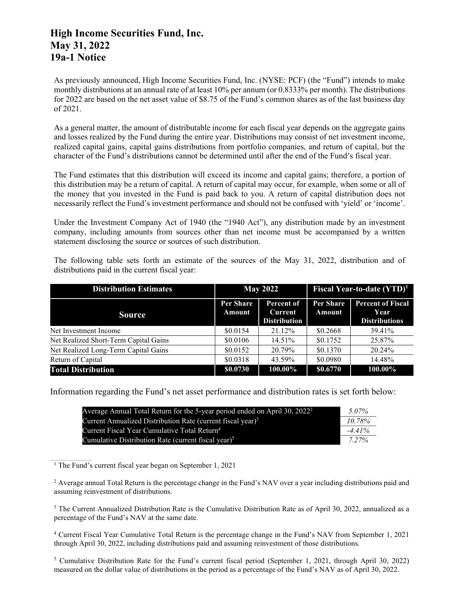## **High Income Securities Fund, Inc. May 31, 2022 19a-1 Notice**

As previously announced, High Income Securities Fund, Inc. (NYSE: PCF) (the "Fund") intends to make monthly distributions at an annual rate of at least 10% per annum (or 0.8333% per month). The distributions for 2022 are based on the net asset value of \$8.75 of the Fund's common shares as of the last business day of 2021.

As a general matter, the amount of distributable income for each fiscal year depends on the aggregate gains and losses realized by the Fund during the entire year. Distributions may consist of net investment income, realized capital gains, capital gains distributions from portfolio companies, and return of capital, but the character of the Fund's distributions cannot be determined until after the end of the Fund's fiscal year.

The Fund estimates that this distribution will exceed its income and capital gains; therefore, a portion of this distribution may be a return of capital. A return of capital may occur, for example, when some or all of the money that you invested in the Fund is paid back to you. A return of capital distribution does not necessarily reflect the Fund's investment performance and should not be confused with 'yield' or 'income'.

Under the Investment Company Act of 1940 (the "1940 Act"), any distribution made by an investment company, including amounts from sources other than net income must be accompanied by a written statement disclosing the source or sources of such distribution.

The following table sets forth an estimate of the sources of the May 31, 2022, distribution and of distributions paid in the current fiscal year:

| <b>Distribution Estimates</b>         | <b>May 2022</b>            |                                              | Fiscal Year-to-date $(YTD)^1$ |                                                          |
|---------------------------------------|----------------------------|----------------------------------------------|-------------------------------|----------------------------------------------------------|
| <b>Source</b>                         | <b>Per Share</b><br>Amount | Percent of<br>Current<br><b>Distribution</b> | Per Share<br>Amount           | <b>Percent of Fiscal</b><br>Year<br><b>Distributions</b> |
| Net Investment Income                 | \$0.0154                   | 21.12%                                       | \$0.2668                      | 39.41%                                                   |
| Net Realized Short-Term Capital Gains | \$0.0106                   | $14.51\%$                                    | \$0.1752                      | 25.87%                                                   |
| Net Realized Long-Term Capital Gains  | \$0.0152                   | 20.79%                                       | \$0.1370                      | 20.24%                                                   |
| Return of Capital                     | \$0.0318                   | 43.59%                                       | \$0.0980                      | 14.48%                                                   |
| <b>Total Distribution</b>             | \$0.0730                   | 100.00%                                      | \$0.6770                      | 100.00%                                                  |

Information regarding the Fund's net asset performance and distribution rates is set forth below:

| Average Annual Total Return for the 5-year period ended on April 30, $2022^2$ | 5.07%    |
|-------------------------------------------------------------------------------|----------|
| Current Annualized Distribution Rate (current fiscal year) $3$                | 10.78%   |
| Current Fiscal Year Cumulative Total Return <sup>4</sup>                      | $-441%$  |
| Cumulative Distribution Rate (current fiscal vear) <sup>5</sup>               | $7.27\%$ |

<sup>1</sup> The Fund's current fiscal year began on September 1, 2021

<sup>2</sup> Average annual Total Return is the percentage change in the Fund's NAV over a year including distributions paid and assuming reinvestment of distributions.

<sup>3</sup> The Current Annualized Distribution Rate is the Cumulative Distribution Rate as of April 30, 2022, annualized as a percentage of the Fund's NAV at the same date.

<sup>4</sup> Current Fiscal Year Cumulative Total Return is the percentage change in the Fund's NAV from September 1, 2021 through April 30, 2022, including distributions paid and assuming reinvestment of those distributions.

<sup>5</sup> Cumulative Distribution Rate for the Fund's current fiscal period (September 1, 2021, through April 30, 2022) measured on the dollar value of distributions in the period as a percentage of the Fund's NAV as of April 30, 2022.